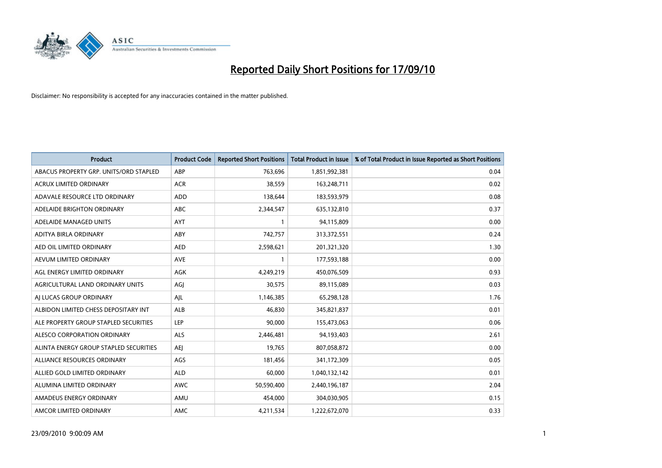

| <b>Product</b>                         | <b>Product Code</b> | <b>Reported Short Positions</b> | Total Product in Issue | % of Total Product in Issue Reported as Short Positions |
|----------------------------------------|---------------------|---------------------------------|------------------------|---------------------------------------------------------|
| ABACUS PROPERTY GRP. UNITS/ORD STAPLED | ABP                 | 763,696                         | 1,851,992,381          | 0.04                                                    |
| ACRUX LIMITED ORDINARY                 | <b>ACR</b>          | 38,559                          | 163,248,711            | 0.02                                                    |
| ADAVALE RESOURCE LTD ORDINARY          | <b>ADD</b>          | 138,644                         | 183,593,979            | 0.08                                                    |
| ADELAIDE BRIGHTON ORDINARY             | <b>ABC</b>          | 2,344,547                       | 635,132,810            | 0.37                                                    |
| ADELAIDE MANAGED UNITS                 | <b>AYT</b>          |                                 | 94,115,809             | 0.00                                                    |
| ADITYA BIRLA ORDINARY                  | ABY                 | 742,757                         | 313,372,551            | 0.24                                                    |
| AED OIL LIMITED ORDINARY               | <b>AED</b>          | 2,598,621                       | 201,321,320            | 1.30                                                    |
| AEVUM LIMITED ORDINARY                 | <b>AVE</b>          |                                 | 177,593,188            | 0.00                                                    |
| AGL ENERGY LIMITED ORDINARY            | AGK                 | 4,249,219                       | 450,076,509            | 0.93                                                    |
| AGRICULTURAL LAND ORDINARY UNITS       | AGJ                 | 30,575                          | 89,115,089             | 0.03                                                    |
| AJ LUCAS GROUP ORDINARY                | AJL                 | 1,146,385                       | 65,298,128             | 1.76                                                    |
| ALBIDON LIMITED CHESS DEPOSITARY INT   | <b>ALB</b>          | 46,830                          | 345,821,837            | 0.01                                                    |
| ALE PROPERTY GROUP STAPLED SECURITIES  | LEP                 | 90,000                          | 155,473,063            | 0.06                                                    |
| ALESCO CORPORATION ORDINARY            | ALS                 | 2,446,481                       | 94,193,403             | 2.61                                                    |
| ALINTA ENERGY GROUP STAPLED SECURITIES | <b>AEI</b>          | 19,765                          | 807,058,872            | 0.00                                                    |
| ALLIANCE RESOURCES ORDINARY            | AGS                 | 181,456                         | 341,172,309            | 0.05                                                    |
| ALLIED GOLD LIMITED ORDINARY           | <b>ALD</b>          | 60,000                          | 1,040,132,142          | 0.01                                                    |
| ALUMINA LIMITED ORDINARY               | <b>AWC</b>          | 50,590,400                      | 2,440,196,187          | 2.04                                                    |
| AMADEUS ENERGY ORDINARY                | AMU                 | 454,000                         | 304,030,905            | 0.15                                                    |
| AMCOR LIMITED ORDINARY                 | <b>AMC</b>          | 4,211,534                       | 1,222,672,070          | 0.33                                                    |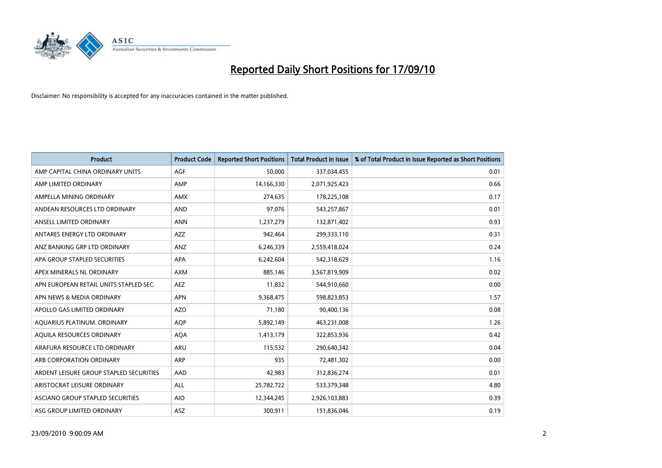

| <b>Product</b>                          | <b>Product Code</b> | <b>Reported Short Positions</b> | Total Product in Issue | % of Total Product in Issue Reported as Short Positions |
|-----------------------------------------|---------------------|---------------------------------|------------------------|---------------------------------------------------------|
| AMP CAPITAL CHINA ORDINARY UNITS        | <b>AGF</b>          | 50,000                          | 337,034,455            | 0.01                                                    |
| AMP LIMITED ORDINARY                    | AMP                 | 14,166,330                      | 2,071,925,423          | 0.66                                                    |
| AMPELLA MINING ORDINARY                 | <b>AMX</b>          | 274,635                         | 178,225,108            | 0.17                                                    |
| ANDEAN RESOURCES LTD ORDINARY           | <b>AND</b>          | 97,076                          | 543,257,867            | 0.01                                                    |
| ANSELL LIMITED ORDINARY                 | <b>ANN</b>          | 1,237,279                       | 132,871,402            | 0.93                                                    |
| ANTARES ENERGY LTD ORDINARY             | <b>AZZ</b>          | 942,464                         | 299,333,110            | 0.31                                                    |
| ANZ BANKING GRP LTD ORDINARY            | ANZ                 | 6,246,339                       | 2,559,418,024          | 0.24                                                    |
| APA GROUP STAPLED SECURITIES            | <b>APA</b>          | 6,242,604                       | 542,318,629            | 1.16                                                    |
| APEX MINERALS NL ORDINARY               | <b>AXM</b>          | 885,146                         | 3,567,819,909          | 0.02                                                    |
| APN EUROPEAN RETAIL UNITS STAPLED SEC.  | <b>AEZ</b>          | 11,832                          | 544,910,660            | 0.00                                                    |
| APN NEWS & MEDIA ORDINARY               | <b>APN</b>          | 9,368,475                       | 598,823,853            | 1.57                                                    |
| APOLLO GAS LIMITED ORDINARY             | <b>AZO</b>          | 71,180                          | 90,400,136             | 0.08                                                    |
| AQUARIUS PLATINUM. ORDINARY             | <b>AOP</b>          | 5,892,149                       | 463,231,008            | 1.26                                                    |
| AOUILA RESOURCES ORDINARY               | <b>AQA</b>          | 1,413,179                       | 322,853,936            | 0.42                                                    |
| ARAFURA RESOURCE LTD ORDINARY           | <b>ARU</b>          | 115,532                         | 290,640,342            | 0.04                                                    |
| ARB CORPORATION ORDINARY                | <b>ARP</b>          | 935                             | 72,481,302             | 0.00                                                    |
| ARDENT LEISURE GROUP STAPLED SECURITIES | AAD                 | 42,983                          | 312,836,274            | 0.01                                                    |
| ARISTOCRAT LEISURE ORDINARY             | <b>ALL</b>          | 25,782,722                      | 533,379,348            | 4.80                                                    |
| ASCIANO GROUP STAPLED SECURITIES        | <b>AIO</b>          | 12,344,245                      | 2,926,103,883          | 0.39                                                    |
| ASG GROUP LIMITED ORDINARY              | <b>ASZ</b>          | 300,911                         | 151,836,046            | 0.19                                                    |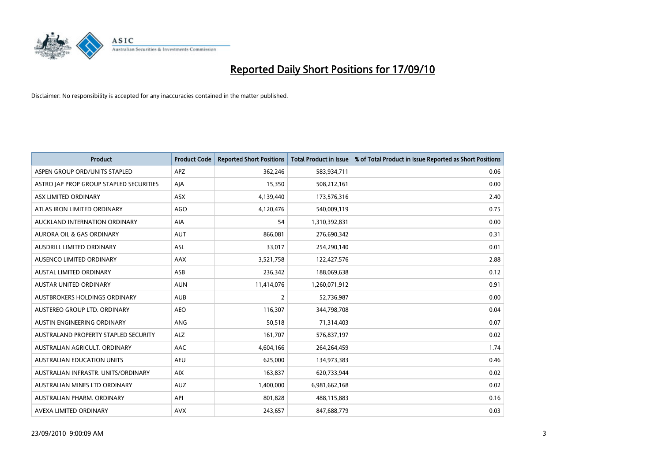

| <b>Product</b>                          | <b>Product Code</b> | <b>Reported Short Positions</b> | <b>Total Product in Issue</b> | % of Total Product in Issue Reported as Short Positions |
|-----------------------------------------|---------------------|---------------------------------|-------------------------------|---------------------------------------------------------|
| ASPEN GROUP ORD/UNITS STAPLED           | <b>APZ</b>          | 362,246                         | 583,934,711                   | 0.06                                                    |
| ASTRO JAP PROP GROUP STAPLED SECURITIES | AJA                 | 15,350                          | 508,212,161                   | 0.00                                                    |
| ASX LIMITED ORDINARY                    | <b>ASX</b>          | 4,139,440                       | 173,576,316                   | 2.40                                                    |
| ATLAS IRON LIMITED ORDINARY             | <b>AGO</b>          | 4,120,476                       | 540,009,119                   | 0.75                                                    |
| AUCKLAND INTERNATION ORDINARY           | AIA                 | 54                              | 1,310,392,831                 | 0.00                                                    |
| <b>AURORA OIL &amp; GAS ORDINARY</b>    | <b>AUT</b>          | 866,081                         | 276,690,342                   | 0.31                                                    |
| AUSDRILL LIMITED ORDINARY               | <b>ASL</b>          | 33,017                          | 254,290,140                   | 0.01                                                    |
| AUSENCO LIMITED ORDINARY                | <b>AAX</b>          | 3,521,758                       | 122,427,576                   | 2.88                                                    |
| <b>AUSTAL LIMITED ORDINARY</b>          | ASB                 | 236,342                         | 188,069,638                   | 0.12                                                    |
| <b>AUSTAR UNITED ORDINARY</b>           | <b>AUN</b>          | 11,414,076                      | 1,260,071,912                 | 0.91                                                    |
| AUSTBROKERS HOLDINGS ORDINARY           | <b>AUB</b>          | 2                               | 52,736,987                    | 0.00                                                    |
| AUSTEREO GROUP LTD. ORDINARY            | <b>AEO</b>          | 116,307                         | 344,798,708                   | 0.04                                                    |
| AUSTIN ENGINEERING ORDINARY             | ANG                 | 50,518                          | 71,314,403                    | 0.07                                                    |
| AUSTRALAND PROPERTY STAPLED SECURITY    | <b>ALZ</b>          | 161,707                         | 576,837,197                   | 0.02                                                    |
| AUSTRALIAN AGRICULT, ORDINARY           | <b>AAC</b>          | 4,604,166                       | 264,264,459                   | 1.74                                                    |
| AUSTRALIAN EDUCATION UNITS              | <b>AEU</b>          | 625,000                         | 134,973,383                   | 0.46                                                    |
| AUSTRALIAN INFRASTR. UNITS/ORDINARY     | AIX                 | 163,837                         | 620,733,944                   | 0.02                                                    |
| AUSTRALIAN MINES LTD ORDINARY           | <b>AUZ</b>          | 1,400,000                       | 6,981,662,168                 | 0.02                                                    |
| AUSTRALIAN PHARM, ORDINARY              | API                 | 801,828                         | 488,115,883                   | 0.16                                                    |
| AVEXA LIMITED ORDINARY                  | <b>AVX</b>          | 243,657                         | 847,688,779                   | 0.03                                                    |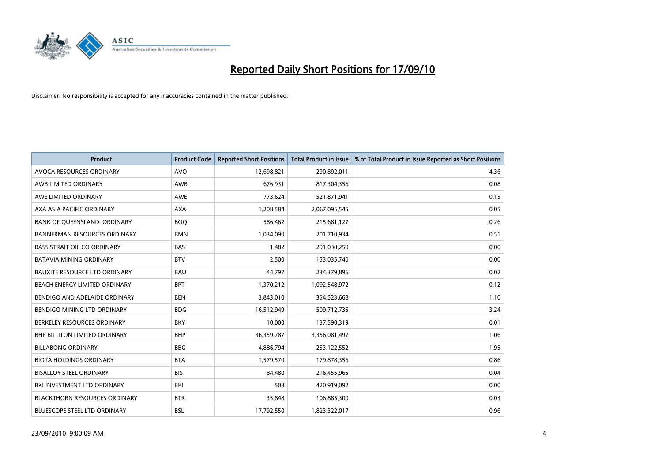

| <b>Product</b>                       | <b>Product Code</b> | <b>Reported Short Positions</b> | <b>Total Product in Issue</b> | % of Total Product in Issue Reported as Short Positions |
|--------------------------------------|---------------------|---------------------------------|-------------------------------|---------------------------------------------------------|
| <b>AVOCA RESOURCES ORDINARY</b>      | <b>AVO</b>          | 12,698,821                      | 290,892,011                   | 4.36                                                    |
| AWB LIMITED ORDINARY                 | AWB                 | 676.931                         | 817,304,356                   | 0.08                                                    |
| AWE LIMITED ORDINARY                 | <b>AWE</b>          | 773,624                         | 521,871,941                   | 0.15                                                    |
| AXA ASIA PACIFIC ORDINARY            | <b>AXA</b>          | 1,208,584                       | 2,067,095,545                 | 0.05                                                    |
| BANK OF QUEENSLAND. ORDINARY         | <b>BOO</b>          | 586.462                         | 215,681,127                   | 0.26                                                    |
| <b>BANNERMAN RESOURCES ORDINARY</b>  | <b>BMN</b>          | 1,034,090                       | 201,710,934                   | 0.51                                                    |
| <b>BASS STRAIT OIL CO ORDINARY</b>   | <b>BAS</b>          | 1.482                           | 291,030,250                   | 0.00                                                    |
| <b>BATAVIA MINING ORDINARY</b>       | <b>BTV</b>          | 2,500                           | 153,035,740                   | 0.00                                                    |
| <b>BAUXITE RESOURCE LTD ORDINARY</b> | <b>BAU</b>          | 44,797                          | 234,379,896                   | 0.02                                                    |
| BEACH ENERGY LIMITED ORDINARY        | <b>BPT</b>          | 1,370,212                       | 1,092,548,972                 | 0.12                                                    |
| BENDIGO AND ADELAIDE ORDINARY        | <b>BEN</b>          | 3,843,010                       | 354,523,668                   | 1.10                                                    |
| BENDIGO MINING LTD ORDINARY          | <b>BDG</b>          | 16,512,949                      | 509,712,735                   | 3.24                                                    |
| BERKELEY RESOURCES ORDINARY          | <b>BKY</b>          | 10.000                          | 137,590,319                   | 0.01                                                    |
| <b>BHP BILLITON LIMITED ORDINARY</b> | <b>BHP</b>          | 36,359,787                      | 3,356,081,497                 | 1.06                                                    |
| <b>BILLABONG ORDINARY</b>            | <b>BBG</b>          | 4,886,794                       | 253,122,552                   | 1.95                                                    |
| <b>BIOTA HOLDINGS ORDINARY</b>       | <b>BTA</b>          | 1,579,570                       | 179,878,356                   | 0.86                                                    |
| <b>BISALLOY STEEL ORDINARY</b>       | <b>BIS</b>          | 84,480                          | 216,455,965                   | 0.04                                                    |
| BKI INVESTMENT LTD ORDINARY          | BKI                 | 508                             | 420,919,092                   | 0.00                                                    |
| <b>BLACKTHORN RESOURCES ORDINARY</b> | <b>BTR</b>          | 35,848                          | 106,885,300                   | 0.03                                                    |
| <b>BLUESCOPE STEEL LTD ORDINARY</b>  | <b>BSL</b>          | 17,792,550                      | 1,823,322,017                 | 0.96                                                    |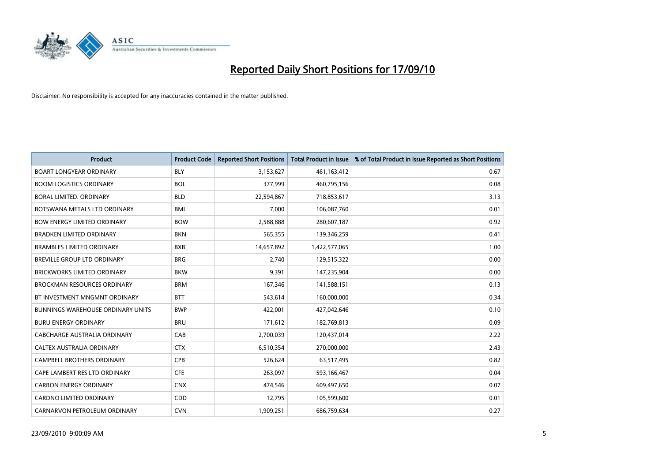

| <b>Product</b>                           | <b>Product Code</b> | <b>Reported Short Positions</b> | <b>Total Product in Issue</b> | % of Total Product in Issue Reported as Short Positions |
|------------------------------------------|---------------------|---------------------------------|-------------------------------|---------------------------------------------------------|
| <b>BOART LONGYEAR ORDINARY</b>           | <b>BLY</b>          | 3,153,627                       | 461,163,412                   | 0.67                                                    |
| <b>BOOM LOGISTICS ORDINARY</b>           | <b>BOL</b>          | 377,999                         | 460,795,156                   | 0.08                                                    |
| BORAL LIMITED, ORDINARY                  | <b>BLD</b>          | 22,594,867                      | 718,853,617                   | 3.13                                                    |
| BOTSWANA METALS LTD ORDINARY             | <b>BML</b>          | 7,000                           | 106,087,760                   | 0.01                                                    |
| <b>BOW ENERGY LIMITED ORDINARY</b>       | <b>BOW</b>          | 2,588,888                       | 280,607,187                   | 0.92                                                    |
| <b>BRADKEN LIMITED ORDINARY</b>          | <b>BKN</b>          | 565,355                         | 139,346,259                   | 0.41                                                    |
| <b>BRAMBLES LIMITED ORDINARY</b>         | <b>BXB</b>          | 14,657,892                      | 1,422,577,065                 | 1.00                                                    |
| <b>BREVILLE GROUP LTD ORDINARY</b>       | <b>BRG</b>          | 2,740                           | 129,515,322                   | 0.00                                                    |
| <b>BRICKWORKS LIMITED ORDINARY</b>       | <b>BKW</b>          | 9,391                           | 147,235,904                   | 0.00                                                    |
| <b>BROCKMAN RESOURCES ORDINARY</b>       | <b>BRM</b>          | 167,346                         | 141,588,151                   | 0.13                                                    |
| BT INVESTMENT MNGMNT ORDINARY            | <b>BTT</b>          | 543,614                         | 160,000,000                   | 0.34                                                    |
| <b>BUNNINGS WAREHOUSE ORDINARY UNITS</b> | <b>BWP</b>          | 422,001                         | 427,042,646                   | 0.10                                                    |
| <b>BURU ENERGY ORDINARY</b>              | <b>BRU</b>          | 171,612                         | 182,769,813                   | 0.09                                                    |
| CABCHARGE AUSTRALIA ORDINARY             | CAB                 | 2,700,039                       | 120,437,014                   | 2.22                                                    |
| CALTEX AUSTRALIA ORDINARY                | <b>CTX</b>          | 6,510,354                       | 270,000,000                   | 2.43                                                    |
| <b>CAMPBELL BROTHERS ORDINARY</b>        | <b>CPB</b>          | 526,624                         | 63,517,495                    | 0.82                                                    |
| CAPE LAMBERT RES LTD ORDINARY            | <b>CFE</b>          | 263,097                         | 593,166,467                   | 0.04                                                    |
| <b>CARBON ENERGY ORDINARY</b>            | <b>CNX</b>          | 474,546                         | 609,497,650                   | 0.07                                                    |
| <b>CARDNO LIMITED ORDINARY</b>           | CDD                 | 12,795                          | 105,599,600                   | 0.01                                                    |
| CARNARVON PETROLEUM ORDINARY             | <b>CVN</b>          | 1,909,251                       | 686,759,634                   | 0.27                                                    |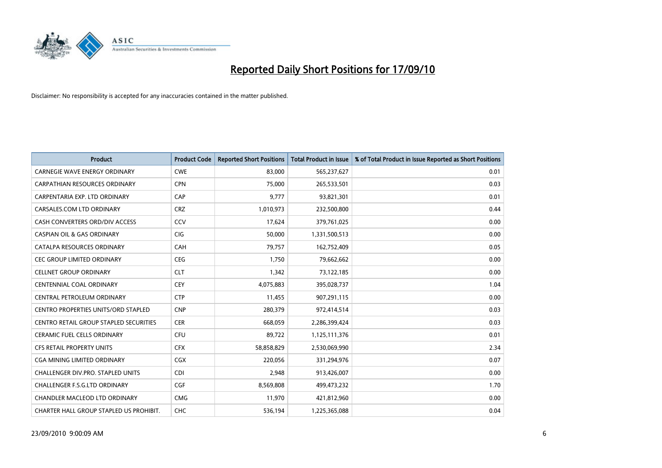

| <b>Product</b>                                | <b>Product Code</b> | <b>Reported Short Positions</b> | Total Product in Issue | % of Total Product in Issue Reported as Short Positions |
|-----------------------------------------------|---------------------|---------------------------------|------------------------|---------------------------------------------------------|
| <b>CARNEGIE WAVE ENERGY ORDINARY</b>          | <b>CWE</b>          | 83,000                          | 565,237,627            | 0.01                                                    |
| CARPATHIAN RESOURCES ORDINARY                 | <b>CPN</b>          | 75,000                          | 265,533,501            | 0.03                                                    |
| CARPENTARIA EXP. LTD ORDINARY                 | CAP                 | 9,777                           | 93,821,301             | 0.01                                                    |
| CARSALES.COM LTD ORDINARY                     | <b>CRZ</b>          | 1,010,973                       | 232,500,800            | 0.44                                                    |
| CASH CONVERTERS ORD/DIV ACCESS                | CCV                 | 17,624                          | 379,761,025            | 0.00                                                    |
| <b>CASPIAN OIL &amp; GAS ORDINARY</b>         | CIG                 | 50,000                          | 1,331,500,513          | 0.00                                                    |
| CATALPA RESOURCES ORDINARY                    | <b>CAH</b>          | 79,757                          | 162,752,409            | 0.05                                                    |
| <b>CEC GROUP LIMITED ORDINARY</b>             | <b>CEG</b>          | 1,750                           | 79,662,662             | 0.00                                                    |
| <b>CELLNET GROUP ORDINARY</b>                 | <b>CLT</b>          | 1,342                           | 73,122,185             | 0.00                                                    |
| <b>CENTENNIAL COAL ORDINARY</b>               | <b>CEY</b>          | 4,075,883                       | 395,028,737            | 1.04                                                    |
| CENTRAL PETROLEUM ORDINARY                    | <b>CTP</b>          | 11,455                          | 907,291,115            | 0.00                                                    |
| <b>CENTRO PROPERTIES UNITS/ORD STAPLED</b>    | <b>CNP</b>          | 280,379                         | 972,414,514            | 0.03                                                    |
| <b>CENTRO RETAIL GROUP STAPLED SECURITIES</b> | <b>CER</b>          | 668,059                         | 2,286,399,424          | 0.03                                                    |
| <b>CERAMIC FUEL CELLS ORDINARY</b>            | <b>CFU</b>          | 89,722                          | 1,125,111,376          | 0.01                                                    |
| <b>CFS RETAIL PROPERTY UNITS</b>              | <b>CFX</b>          | 58,858,829                      | 2,530,069,990          | 2.34                                                    |
| CGA MINING LIMITED ORDINARY                   | CGX                 | 220,056                         | 331,294,976            | 0.07                                                    |
| <b>CHALLENGER DIV.PRO. STAPLED UNITS</b>      | <b>CDI</b>          | 2,948                           | 913,426,007            | 0.00                                                    |
| CHALLENGER F.S.G.LTD ORDINARY                 | <b>CGF</b>          | 8,569,808                       | 499,473,232            | 1.70                                                    |
| <b>CHANDLER MACLEOD LTD ORDINARY</b>          | <b>CMG</b>          | 11,970                          | 421,812,960            | 0.00                                                    |
| CHARTER HALL GROUP STAPLED US PROHIBIT.       | <b>CHC</b>          | 536,194                         | 1,225,365,088          | 0.04                                                    |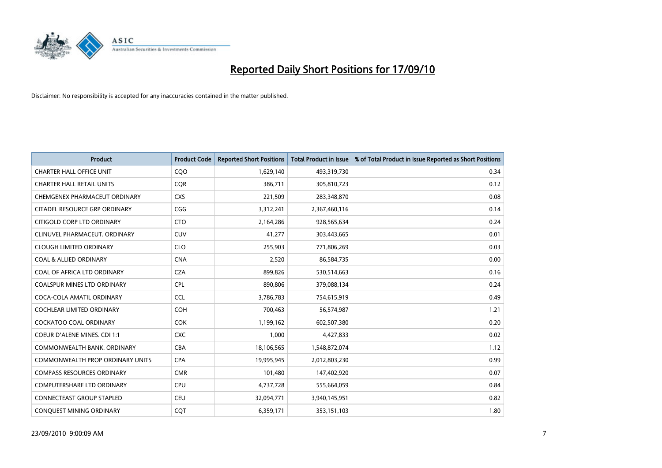

| <b>Product</b>                          | <b>Product Code</b> | <b>Reported Short Positions</b> | Total Product in Issue | % of Total Product in Issue Reported as Short Positions |
|-----------------------------------------|---------------------|---------------------------------|------------------------|---------------------------------------------------------|
| <b>CHARTER HALL OFFICE UNIT</b>         | COO                 | 1,629,140                       | 493,319,730            | 0.34                                                    |
| <b>CHARTER HALL RETAIL UNITS</b>        | <b>COR</b>          | 386,711                         | 305,810,723            | 0.12                                                    |
| CHEMGENEX PHARMACEUT ORDINARY           | <b>CXS</b>          | 221,509                         | 283,348,870            | 0.08                                                    |
| CITADEL RESOURCE GRP ORDINARY           | CGG                 | 3,312,241                       | 2,367,460,116          | 0.14                                                    |
| CITIGOLD CORP LTD ORDINARY              | <b>CTO</b>          | 2,164,286                       | 928,565,634            | 0.24                                                    |
| CLINUVEL PHARMACEUT, ORDINARY           | CUV                 | 41,277                          | 303,443,665            | 0.01                                                    |
| <b>CLOUGH LIMITED ORDINARY</b>          | <b>CLO</b>          | 255,903                         | 771,806,269            | 0.03                                                    |
| <b>COAL &amp; ALLIED ORDINARY</b>       | <b>CNA</b>          | 2,520                           | 86,584,735             | 0.00                                                    |
| COAL OF AFRICA LTD ORDINARY             | <b>CZA</b>          | 899,826                         | 530,514,663            | 0.16                                                    |
| <b>COALSPUR MINES LTD ORDINARY</b>      | <b>CPL</b>          | 890,806                         | 379,088,134            | 0.24                                                    |
| COCA-COLA AMATIL ORDINARY               | <b>CCL</b>          | 3,786,783                       | 754,615,919            | 0.49                                                    |
| <b>COCHLEAR LIMITED ORDINARY</b>        | <b>COH</b>          | 700,463                         | 56,574,987             | 1.21                                                    |
| COCKATOO COAL ORDINARY                  | <b>COK</b>          | 1,199,162                       | 602,507,380            | 0.20                                                    |
| COEUR D'ALENE MINES. CDI 1:1            | <b>CXC</b>          | 1,000                           | 4,427,833              | 0.02                                                    |
| COMMONWEALTH BANK, ORDINARY             | <b>CBA</b>          | 18,106,565                      | 1,548,872,074          | 1.12                                                    |
| <b>COMMONWEALTH PROP ORDINARY UNITS</b> | <b>CPA</b>          | 19,995,945                      | 2,012,803,230          | 0.99                                                    |
| <b>COMPASS RESOURCES ORDINARY</b>       | <b>CMR</b>          | 101,480                         | 147,402,920            | 0.07                                                    |
| COMPUTERSHARE LTD ORDINARY              | <b>CPU</b>          | 4,737,728                       | 555,664,059            | 0.84                                                    |
| <b>CONNECTEAST GROUP STAPLED</b>        | <b>CEU</b>          | 32,094,771                      | 3,940,145,951          | 0.82                                                    |
| CONQUEST MINING ORDINARY                | <b>COT</b>          | 6,359,171                       | 353,151,103            | 1.80                                                    |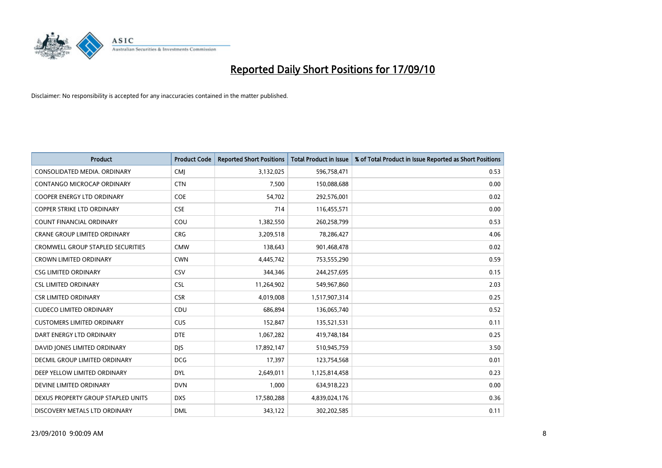

| <b>Product</b>                           | <b>Product Code</b> | <b>Reported Short Positions</b> | Total Product in Issue | % of Total Product in Issue Reported as Short Positions |
|------------------------------------------|---------------------|---------------------------------|------------------------|---------------------------------------------------------|
| CONSOLIDATED MEDIA, ORDINARY             | <b>CMI</b>          | 3,132,025                       | 596,758,471            | 0.53                                                    |
| CONTANGO MICROCAP ORDINARY               | <b>CTN</b>          | 7,500                           | 150,088,688            | 0.00                                                    |
| COOPER ENERGY LTD ORDINARY               | <b>COE</b>          | 54,702                          | 292,576,001            | 0.02                                                    |
| COPPER STRIKE LTD ORDINARY               | <b>CSE</b>          | 714                             | 116,455,571            | 0.00                                                    |
| <b>COUNT FINANCIAL ORDINARY</b>          | COU                 | 1,382,550                       | 260,258,799            | 0.53                                                    |
| <b>CRANE GROUP LIMITED ORDINARY</b>      | <b>CRG</b>          | 3,209,518                       | 78,286,427             | 4.06                                                    |
| <b>CROMWELL GROUP STAPLED SECURITIES</b> | <b>CMW</b>          | 138,643                         | 901,468,478            | 0.02                                                    |
| <b>CROWN LIMITED ORDINARY</b>            | <b>CWN</b>          | 4,445,742                       | 753,555,290            | 0.59                                                    |
| <b>CSG LIMITED ORDINARY</b>              | CSV                 | 344,346                         | 244,257,695            | 0.15                                                    |
| <b>CSL LIMITED ORDINARY</b>              | <b>CSL</b>          | 11,264,902                      | 549,967,860            | 2.03                                                    |
| <b>CSR LIMITED ORDINARY</b>              | <b>CSR</b>          | 4,019,008                       | 1,517,907,314          | 0.25                                                    |
| <b>CUDECO LIMITED ORDINARY</b>           | CDU                 | 686,894                         | 136,065,740            | 0.52                                                    |
| <b>CUSTOMERS LIMITED ORDINARY</b>        | CUS                 | 152,847                         | 135,521,531            | 0.11                                                    |
| DART ENERGY LTD ORDINARY                 | <b>DTE</b>          | 1,067,282                       | 419,748,184            | 0.25                                                    |
| DAVID JONES LIMITED ORDINARY             | <b>DJS</b>          | 17,892,147                      | 510,945,759            | 3.50                                                    |
| DECMIL GROUP LIMITED ORDINARY            | <b>DCG</b>          | 17,397                          | 123,754,568            | 0.01                                                    |
| DEEP YELLOW LIMITED ORDINARY             | <b>DYL</b>          | 2,649,011                       | 1,125,814,458          | 0.23                                                    |
| DEVINE LIMITED ORDINARY                  | <b>DVN</b>          | 1,000                           | 634,918,223            | 0.00                                                    |
| DEXUS PROPERTY GROUP STAPLED UNITS       | <b>DXS</b>          | 17,580,288                      | 4,839,024,176          | 0.36                                                    |
| DISCOVERY METALS LTD ORDINARY            | <b>DML</b>          | 343,122                         | 302,202,585            | 0.11                                                    |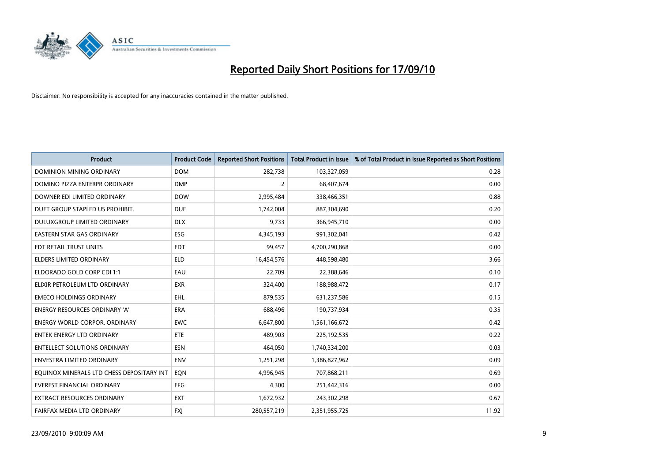

| <b>Product</b>                            | <b>Product Code</b> | <b>Reported Short Positions</b> | <b>Total Product in Issue</b> | % of Total Product in Issue Reported as Short Positions |
|-------------------------------------------|---------------------|---------------------------------|-------------------------------|---------------------------------------------------------|
| <b>DOMINION MINING ORDINARY</b>           | <b>DOM</b>          | 282,738                         | 103,327,059                   | 0.28                                                    |
| DOMINO PIZZA ENTERPR ORDINARY             | <b>DMP</b>          | $\overline{2}$                  | 68,407,674                    | 0.00                                                    |
| DOWNER EDI LIMITED ORDINARY               | <b>DOW</b>          | 2,995,484                       | 338,466,351                   | 0.88                                                    |
| DUET GROUP STAPLED US PROHIBIT.           | <b>DUE</b>          | 1,742,004                       | 887,304,690                   | 0.20                                                    |
| DULUXGROUP LIMITED ORDINARY               | <b>DLX</b>          | 9,733                           | 366,945,710                   | 0.00                                                    |
| <b>EASTERN STAR GAS ORDINARY</b>          | <b>ESG</b>          | 4,345,193                       | 991,302,041                   | 0.42                                                    |
| EDT RETAIL TRUST UNITS                    | <b>EDT</b>          | 99,457                          | 4,700,290,868                 | 0.00                                                    |
| <b>ELDERS LIMITED ORDINARY</b>            | <b>ELD</b>          | 16,454,576                      | 448,598,480                   | 3.66                                                    |
| ELDORADO GOLD CORP CDI 1:1                | EAU                 | 22,709                          | 22,388,646                    | 0.10                                                    |
| ELIXIR PETROLEUM LTD ORDINARY             | <b>EXR</b>          | 324,400                         | 188,988,472                   | 0.17                                                    |
| <b>EMECO HOLDINGS ORDINARY</b>            | <b>EHL</b>          | 879,535                         | 631,237,586                   | 0.15                                                    |
| <b>ENERGY RESOURCES ORDINARY 'A'</b>      | <b>ERA</b>          | 688,496                         | 190,737,934                   | 0.35                                                    |
| <b>ENERGY WORLD CORPOR, ORDINARY</b>      | <b>EWC</b>          | 6,647,800                       | 1,561,166,672                 | 0.42                                                    |
| <b>ENTEK ENERGY LTD ORDINARY</b>          | <b>ETE</b>          | 489,903                         | 225,192,535                   | 0.22                                                    |
| <b>ENTELLECT SOLUTIONS ORDINARY</b>       | <b>ESN</b>          | 464.050                         | 1,740,334,200                 | 0.03                                                    |
| <b>ENVESTRA LIMITED ORDINARY</b>          | <b>ENV</b>          | 1,251,298                       | 1,386,827,962                 | 0.09                                                    |
| EQUINOX MINERALS LTD CHESS DEPOSITARY INT | EON                 | 4,996,945                       | 707,868,211                   | 0.69                                                    |
| <b>EVEREST FINANCIAL ORDINARY</b>         | <b>EFG</b>          | 4,300                           | 251,442,316                   | 0.00                                                    |
| EXTRACT RESOURCES ORDINARY                | <b>EXT</b>          | 1,672,932                       | 243,302,298                   | 0.67                                                    |
| FAIRFAX MEDIA LTD ORDINARY                | <b>FXI</b>          | 280,557,219                     | 2,351,955,725                 | 11.92                                                   |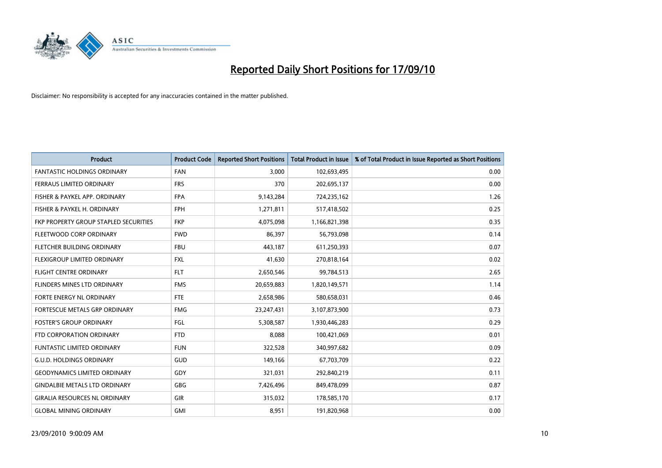

| <b>Product</b>                        | <b>Product Code</b> | <b>Reported Short Positions</b> | <b>Total Product in Issue</b> | % of Total Product in Issue Reported as Short Positions |
|---------------------------------------|---------------------|---------------------------------|-------------------------------|---------------------------------------------------------|
| <b>FANTASTIC HOLDINGS ORDINARY</b>    | <b>FAN</b>          | 3,000                           | 102,693,495                   | 0.00                                                    |
| <b>FERRAUS LIMITED ORDINARY</b>       | <b>FRS</b>          | 370                             | 202,695,137                   | 0.00                                                    |
| FISHER & PAYKEL APP. ORDINARY         | <b>FPA</b>          | 9,143,284                       | 724,235,162                   | 1.26                                                    |
| FISHER & PAYKEL H. ORDINARY           | <b>FPH</b>          | 1,271,811                       | 517,418,502                   | 0.25                                                    |
| FKP PROPERTY GROUP STAPLED SECURITIES | <b>FKP</b>          | 4,075,098                       | 1,166,821,398                 | 0.35                                                    |
| FLEETWOOD CORP ORDINARY               | <b>FWD</b>          | 86,397                          | 56,793,098                    | 0.14                                                    |
| FLETCHER BUILDING ORDINARY            | <b>FBU</b>          | 443,187                         | 611,250,393                   | 0.07                                                    |
| FLEXIGROUP LIMITED ORDINARY           | <b>FXL</b>          | 41.630                          | 270,818,164                   | 0.02                                                    |
| <b>FLIGHT CENTRE ORDINARY</b>         | <b>FLT</b>          | 2,650,546                       | 99,784,513                    | 2.65                                                    |
| FLINDERS MINES LTD ORDINARY           | <b>FMS</b>          | 20,659,883                      | 1,820,149,571                 | 1.14                                                    |
| <b>FORTE ENERGY NL ORDINARY</b>       | <b>FTE</b>          | 2,658,986                       | 580,658,031                   | 0.46                                                    |
| FORTESCUE METALS GRP ORDINARY         | <b>FMG</b>          | 23,247,431                      | 3,107,873,900                 | 0.73                                                    |
| <b>FOSTER'S GROUP ORDINARY</b>        | FGL                 | 5,308,587                       | 1,930,446,283                 | 0.29                                                    |
| FTD CORPORATION ORDINARY              | <b>FTD</b>          | 8,088                           | 100,421,069                   | 0.01                                                    |
| <b>FUNTASTIC LIMITED ORDINARY</b>     | <b>FUN</b>          | 322,528                         | 340,997,682                   | 0.09                                                    |
| G.U.D. HOLDINGS ORDINARY              | GUD                 | 149,166                         | 67,703,709                    | 0.22                                                    |
| <b>GEODYNAMICS LIMITED ORDINARY</b>   | GDY                 | 321,031                         | 292,840,219                   | 0.11                                                    |
| <b>GINDALBIE METALS LTD ORDINARY</b>  | <b>GBG</b>          | 7,426,496                       | 849,478,099                   | 0.87                                                    |
| <b>GIRALIA RESOURCES NL ORDINARY</b>  | <b>GIR</b>          | 315,032                         | 178,585,170                   | 0.17                                                    |
| <b>GLOBAL MINING ORDINARY</b>         | <b>GMI</b>          | 8,951                           | 191,820,968                   | 0.00                                                    |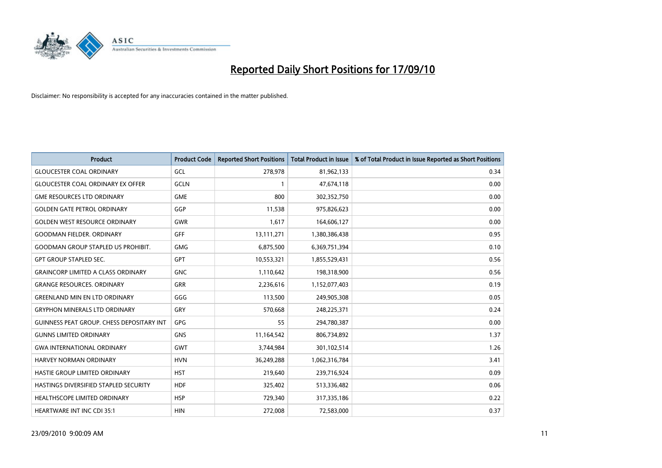

| <b>Product</b>                                   | <b>Product Code</b> | <b>Reported Short Positions</b> | Total Product in Issue | % of Total Product in Issue Reported as Short Positions |
|--------------------------------------------------|---------------------|---------------------------------|------------------------|---------------------------------------------------------|
| <b>GLOUCESTER COAL ORDINARY</b>                  | GCL                 | 278,978                         | 81,962,133             | 0.34                                                    |
| <b>GLOUCESTER COAL ORDINARY EX OFFER</b>         | <b>GCLN</b>         |                                 | 47,674,118             | 0.00                                                    |
| <b>GME RESOURCES LTD ORDINARY</b>                | <b>GME</b>          | 800                             | 302,352,750            | 0.00                                                    |
| <b>GOLDEN GATE PETROL ORDINARY</b>               | GGP                 | 11,538                          | 975,826,623            | 0.00                                                    |
| <b>GOLDEN WEST RESOURCE ORDINARY</b>             | <b>GWR</b>          | 1,617                           | 164,606,127            | 0.00                                                    |
| <b>GOODMAN FIELDER, ORDINARY</b>                 | <b>GFF</b>          | 13,111,271                      | 1,380,386,438          | 0.95                                                    |
| <b>GOODMAN GROUP STAPLED US PROHIBIT.</b>        | <b>GMG</b>          | 6,875,500                       | 6,369,751,394          | 0.10                                                    |
| <b>GPT GROUP STAPLED SEC.</b>                    | <b>GPT</b>          | 10,553,321                      | 1,855,529,431          | 0.56                                                    |
| <b>GRAINCORP LIMITED A CLASS ORDINARY</b>        | <b>GNC</b>          | 1,110,642                       | 198,318,900            | 0.56                                                    |
| <b>GRANGE RESOURCES, ORDINARY</b>                | <b>GRR</b>          | 2,236,616                       | 1,152,077,403          | 0.19                                                    |
| <b>GREENLAND MIN EN LTD ORDINARY</b>             | GGG                 | 113,500                         | 249,905,308            | 0.05                                                    |
| <b>GRYPHON MINERALS LTD ORDINARY</b>             | GRY                 | 570,668                         | 248,225,371            | 0.24                                                    |
| <b>GUINNESS PEAT GROUP. CHESS DEPOSITARY INT</b> | GPG                 | 55                              | 294,780,387            | 0.00                                                    |
| <b>GUNNS LIMITED ORDINARY</b>                    | <b>GNS</b>          | 11,164,542                      | 806,734,892            | 1.37                                                    |
| <b>GWA INTERNATIONAL ORDINARY</b>                | GWT                 | 3,744,984                       | 301,102,514            | 1.26                                                    |
| HARVEY NORMAN ORDINARY                           | <b>HVN</b>          | 36,249,288                      | 1,062,316,784          | 3.41                                                    |
| HASTIE GROUP LIMITED ORDINARY                    | <b>HST</b>          | 219,640                         | 239,716,924            | 0.09                                                    |
| HASTINGS DIVERSIFIED STAPLED SECURITY            | <b>HDF</b>          | 325,402                         | 513,336,482            | 0.06                                                    |
| HEALTHSCOPE LIMITED ORDINARY                     | <b>HSP</b>          | 729,340                         | 317,335,186            | 0.22                                                    |
| <b>HEARTWARE INT INC CDI 35:1</b>                | <b>HIN</b>          | 272,008                         | 72,583,000             | 0.37                                                    |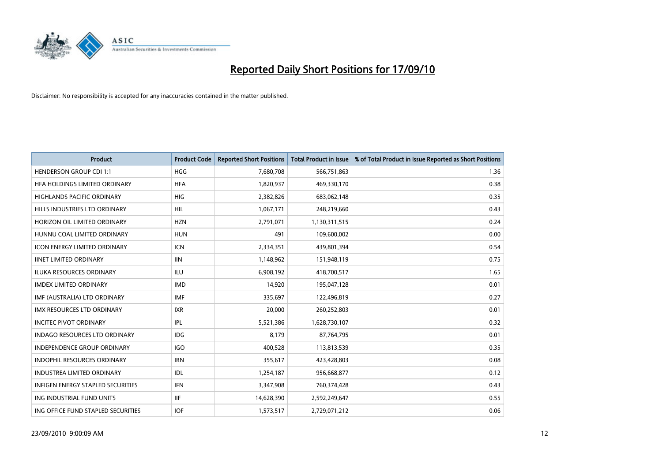

| <b>Product</b>                       | <b>Product Code</b> | <b>Reported Short Positions</b> | <b>Total Product in Issue</b> | % of Total Product in Issue Reported as Short Positions |
|--------------------------------------|---------------------|---------------------------------|-------------------------------|---------------------------------------------------------|
| <b>HENDERSON GROUP CDI 1:1</b>       | <b>HGG</b>          | 7,680,708                       | 566,751,863                   | 1.36                                                    |
| HFA HOLDINGS LIMITED ORDINARY        | <b>HFA</b>          | 1,820,937                       | 469,330,170                   | 0.38                                                    |
| <b>HIGHLANDS PACIFIC ORDINARY</b>    | <b>HIG</b>          | 2,382,826                       | 683,062,148                   | 0.35                                                    |
| HILLS INDUSTRIES LTD ORDINARY        | HIL                 | 1,067,171                       | 248,219,660                   | 0.43                                                    |
| HORIZON OIL LIMITED ORDINARY         | <b>HZN</b>          | 2,791,071                       | 1,130,311,515                 | 0.24                                                    |
| HUNNU COAL LIMITED ORDINARY          | <b>HUN</b>          | 491                             | 109,600,002                   | 0.00                                                    |
| <b>ICON ENERGY LIMITED ORDINARY</b>  | <b>ICN</b>          | 2,334,351                       | 439,801,394                   | 0.54                                                    |
| <b>IINET LIMITED ORDINARY</b>        | <b>IIN</b>          | 1,148,962                       | 151,948,119                   | 0.75                                                    |
| ILUKA RESOURCES ORDINARY             | ILU                 | 6,908,192                       | 418,700,517                   | 1.65                                                    |
| <b>IMDEX LIMITED ORDINARY</b>        | <b>IMD</b>          | 14,920                          | 195,047,128                   | 0.01                                                    |
| IMF (AUSTRALIA) LTD ORDINARY         | <b>IMF</b>          | 335,697                         | 122,496,819                   | 0.27                                                    |
| <b>IMX RESOURCES LTD ORDINARY</b>    | <b>IXR</b>          | 20,000                          | 260,252,803                   | 0.01                                                    |
| <b>INCITEC PIVOT ORDINARY</b>        | <b>IPL</b>          | 5,521,386                       | 1,628,730,107                 | 0.32                                                    |
| <b>INDAGO RESOURCES LTD ORDINARY</b> | IDG                 | 8,179                           | 87,764,795                    | 0.01                                                    |
| <b>INDEPENDENCE GROUP ORDINARY</b>   | <b>IGO</b>          | 400,528                         | 113,813,539                   | 0.35                                                    |
| <b>INDOPHIL RESOURCES ORDINARY</b>   | <b>IRN</b>          | 355,617                         | 423,428,803                   | 0.08                                                    |
| <b>INDUSTREA LIMITED ORDINARY</b>    | <b>IDL</b>          | 1,254,187                       | 956,668,877                   | 0.12                                                    |
| INFIGEN ENERGY STAPLED SECURITIES    | <b>IFN</b>          | 3,347,908                       | 760,374,428                   | 0.43                                                    |
| ING INDUSTRIAL FUND UNITS            | <b>IIF</b>          | 14,628,390                      | 2,592,249,647                 | 0.55                                                    |
| ING OFFICE FUND STAPLED SECURITIES   | <b>IOF</b>          | 1,573,517                       | 2,729,071,212                 | 0.06                                                    |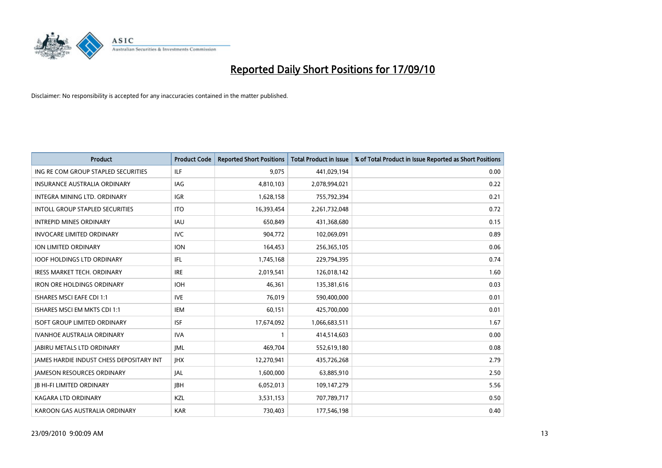

| <b>Product</b>                                  | <b>Product Code</b> | <b>Reported Short Positions</b> | Total Product in Issue | % of Total Product in Issue Reported as Short Positions |
|-------------------------------------------------|---------------------|---------------------------------|------------------------|---------------------------------------------------------|
| ING RE COM GROUP STAPLED SECURITIES             | <b>ILF</b>          | 9,075                           | 441,029,194            | 0.00                                                    |
| <b>INSURANCE AUSTRALIA ORDINARY</b>             | <b>IAG</b>          | 4,810,103                       | 2,078,994,021          | 0.22                                                    |
| INTEGRA MINING LTD, ORDINARY                    | <b>IGR</b>          | 1,628,158                       | 755,792,394            | 0.21                                                    |
| INTOLL GROUP STAPLED SECURITIES                 | <b>ITO</b>          | 16,393,454                      | 2,261,732,048          | 0.72                                                    |
| <b>INTREPID MINES ORDINARY</b>                  | <b>IAU</b>          | 650.849                         | 431,368,680            | 0.15                                                    |
| <b>INVOCARE LIMITED ORDINARY</b>                | <b>IVC</b>          | 904,772                         | 102,069,091            | 0.89                                                    |
| <b>ION LIMITED ORDINARY</b>                     | <b>ION</b>          | 164,453                         | 256,365,105            | 0.06                                                    |
| <b>IOOF HOLDINGS LTD ORDINARY</b>               | <b>IFL</b>          | 1,745,168                       | 229,794,395            | 0.74                                                    |
| <b>IRESS MARKET TECH. ORDINARY</b>              | <b>IRE</b>          | 2,019,541                       | 126,018,142            | 1.60                                                    |
| <b>IRON ORE HOLDINGS ORDINARY</b>               | <b>IOH</b>          | 46.361                          | 135,381,616            | 0.03                                                    |
| <b>ISHARES MSCI EAFE CDI 1:1</b>                | <b>IVE</b>          | 76,019                          | 590,400,000            | 0.01                                                    |
| ISHARES MSCI EM MKTS CDI 1:1                    | <b>IEM</b>          | 60,151                          | 425,700,000            | 0.01                                                    |
| <b>ISOFT GROUP LIMITED ORDINARY</b>             | <b>ISF</b>          | 17,674,092                      | 1,066,683,511          | 1.67                                                    |
| <b>IVANHOE AUSTRALIA ORDINARY</b>               | <b>IVA</b>          |                                 | 414,514,603            | 0.00                                                    |
| <b>JABIRU METALS LTD ORDINARY</b>               | <b>JML</b>          | 469,704                         | 552,619,180            | 0.08                                                    |
| <b>JAMES HARDIE INDUST CHESS DEPOSITARY INT</b> | <b>IHX</b>          | 12,270,941                      | 435,726,268            | 2.79                                                    |
| <b>JAMESON RESOURCES ORDINARY</b>               | <b>JAL</b>          | 1,600,000                       | 63,885,910             | 2.50                                                    |
| <b>JB HI-FI LIMITED ORDINARY</b>                | <b>IBH</b>          | 6,052,013                       | 109,147,279            | 5.56                                                    |
| <b>KAGARA LTD ORDINARY</b>                      | KZL                 | 3,531,153                       | 707,789,717            | 0.50                                                    |
| KAROON GAS AUSTRALIA ORDINARY                   | <b>KAR</b>          | 730.403                         | 177,546,198            | 0.40                                                    |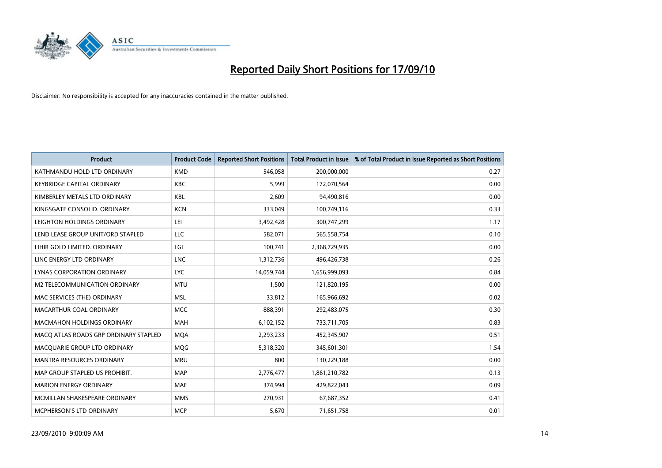

| <b>Product</b>                        | <b>Product Code</b> | <b>Reported Short Positions</b> | <b>Total Product in Issue</b> | % of Total Product in Issue Reported as Short Positions |
|---------------------------------------|---------------------|---------------------------------|-------------------------------|---------------------------------------------------------|
| KATHMANDU HOLD LTD ORDINARY           | <b>KMD</b>          | 546,058                         | 200,000,000                   | 0.27                                                    |
| <b>KEYBRIDGE CAPITAL ORDINARY</b>     | <b>KBC</b>          | 5,999                           | 172,070,564                   | 0.00                                                    |
| KIMBERLEY METALS LTD ORDINARY         | <b>KBL</b>          | 2.609                           | 94,490,816                    | 0.00                                                    |
| KINGSGATE CONSOLID. ORDINARY          | <b>KCN</b>          | 333,049                         | 100,749,116                   | 0.33                                                    |
| LEIGHTON HOLDINGS ORDINARY            | LEI                 | 3,492,428                       | 300,747,299                   | 1.17                                                    |
| LEND LEASE GROUP UNIT/ORD STAPLED     | LLC                 | 582,071                         | 565,558,754                   | 0.10                                                    |
| LIHIR GOLD LIMITED. ORDINARY          | LGL                 | 100,741                         | 2,368,729,935                 | 0.00                                                    |
| LINC ENERGY LTD ORDINARY              | <b>LNC</b>          | 1,312,736                       | 496,426,738                   | 0.26                                                    |
| <b>LYNAS CORPORATION ORDINARY</b>     | <b>LYC</b>          | 14,059,744                      | 1,656,999,093                 | 0.84                                                    |
| M2 TELECOMMUNICATION ORDINARY         | <b>MTU</b>          | 1,500                           | 121,820,195                   | 0.00                                                    |
| MAC SERVICES (THE) ORDINARY           | <b>MSL</b>          | 33,812                          | 165,966,692                   | 0.02                                                    |
| MACARTHUR COAL ORDINARY               | <b>MCC</b>          | 888,391                         | 292,483,075                   | 0.30                                                    |
| MACMAHON HOLDINGS ORDINARY            | <b>MAH</b>          | 6,102,152                       | 733,711,705                   | 0.83                                                    |
| MACO ATLAS ROADS GRP ORDINARY STAPLED | <b>MOA</b>          | 2,293,233                       | 452,345,907                   | 0.51                                                    |
| MACQUARIE GROUP LTD ORDINARY          | MQG                 | 5,318,320                       | 345,601,301                   | 1.54                                                    |
| <b>MANTRA RESOURCES ORDINARY</b>      | <b>MRU</b>          | 800                             | 130,229,188                   | 0.00                                                    |
| MAP GROUP STAPLED US PROHIBIT.        | <b>MAP</b>          | 2,776,477                       | 1,861,210,782                 | 0.13                                                    |
| <b>MARION ENERGY ORDINARY</b>         | <b>MAE</b>          | 374,994                         | 429,822,043                   | 0.09                                                    |
| MCMILLAN SHAKESPEARE ORDINARY         | <b>MMS</b>          | 270,931                         | 67,687,352                    | 0.41                                                    |
| MCPHERSON'S LTD ORDINARY              | <b>MCP</b>          | 5,670                           | 71,651,758                    | 0.01                                                    |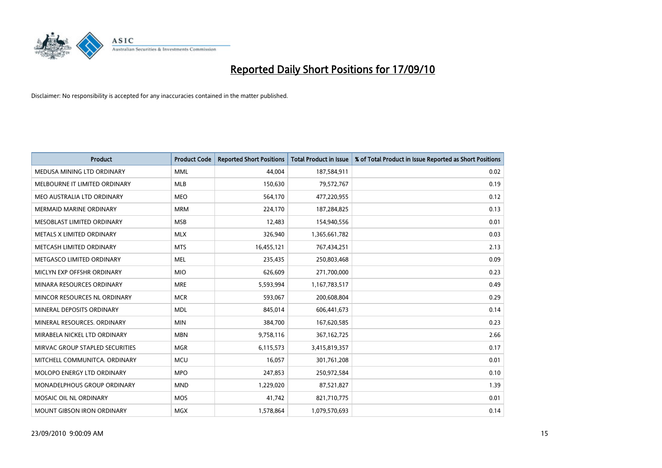

| <b>Product</b>                  | <b>Product Code</b> | <b>Reported Short Positions</b> | <b>Total Product in Issue</b> | % of Total Product in Issue Reported as Short Positions |
|---------------------------------|---------------------|---------------------------------|-------------------------------|---------------------------------------------------------|
| MEDUSA MINING LTD ORDINARY      | <b>MML</b>          | 44.004                          | 187,584,911                   | 0.02                                                    |
| MELBOURNE IT LIMITED ORDINARY   | <b>MLB</b>          | 150,630                         | 79,572,767                    | 0.19                                                    |
| MEO AUSTRALIA LTD ORDINARY      | <b>MEO</b>          | 564,170                         | 477,220,955                   | 0.12                                                    |
| <b>MERMAID MARINE ORDINARY</b>  | <b>MRM</b>          | 224,170                         | 187,284,825                   | 0.13                                                    |
| MESOBLAST LIMITED ORDINARY      | <b>MSB</b>          | 12,483                          | 154,940,556                   | 0.01                                                    |
| METALS X LIMITED ORDINARY       | <b>MLX</b>          | 326,940                         | 1,365,661,782                 | 0.03                                                    |
| METCASH LIMITED ORDINARY        | <b>MTS</b>          | 16,455,121                      | 767,434,251                   | 2.13                                                    |
| METGASCO LIMITED ORDINARY       | <b>MEL</b>          | 235,435                         | 250,803,468                   | 0.09                                                    |
| MICLYN EXP OFFSHR ORDINARY      | <b>MIO</b>          | 626,609                         | 271,700,000                   | 0.23                                                    |
| MINARA RESOURCES ORDINARY       | <b>MRE</b>          | 5,593,994                       | 1,167,783,517                 | 0.49                                                    |
| MINCOR RESOURCES NL ORDINARY    | <b>MCR</b>          | 593,067                         | 200,608,804                   | 0.29                                                    |
| MINERAL DEPOSITS ORDINARY       | <b>MDL</b>          | 845,014                         | 606,441,673                   | 0.14                                                    |
| MINERAL RESOURCES. ORDINARY     | <b>MIN</b>          | 384,700                         | 167,620,585                   | 0.23                                                    |
| MIRABELA NICKEL LTD ORDINARY    | <b>MBN</b>          | 9,758,116                       | 367, 162, 725                 | 2.66                                                    |
| MIRVAC GROUP STAPLED SECURITIES | <b>MGR</b>          | 6,115,573                       | 3,415,819,357                 | 0.17                                                    |
| MITCHELL COMMUNITCA, ORDINARY   | <b>MCU</b>          | 16,057                          | 301,761,208                   | 0.01                                                    |
| MOLOPO ENERGY LTD ORDINARY      | <b>MPO</b>          | 247,853                         | 250,972,584                   | 0.10                                                    |
| MONADELPHOUS GROUP ORDINARY     | <b>MND</b>          | 1,229,020                       | 87,521,827                    | 1.39                                                    |
| MOSAIC OIL NL ORDINARY          | <b>MOS</b>          | 41,742                          | 821,710,775                   | 0.01                                                    |
| MOUNT GIBSON IRON ORDINARY      | <b>MGX</b>          | 1,578,864                       | 1,079,570,693                 | 0.14                                                    |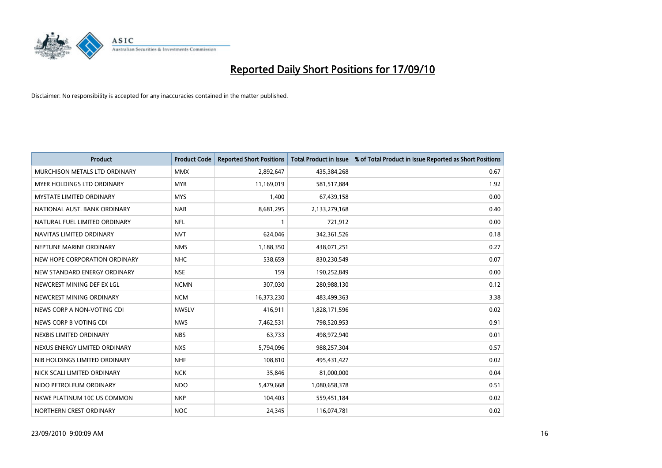

| <b>Product</b>                  | <b>Product Code</b> | <b>Reported Short Positions</b> | <b>Total Product in Issue</b> | % of Total Product in Issue Reported as Short Positions |
|---------------------------------|---------------------|---------------------------------|-------------------------------|---------------------------------------------------------|
| MURCHISON METALS LTD ORDINARY   | <b>MMX</b>          | 2,892,647                       | 435,384,268                   | 0.67                                                    |
| MYER HOLDINGS LTD ORDINARY      | <b>MYR</b>          | 11,169,019                      | 581,517,884                   | 1.92                                                    |
| <b>MYSTATE LIMITED ORDINARY</b> | <b>MYS</b>          | 1,400                           | 67,439,158                    | 0.00                                                    |
| NATIONAL AUST. BANK ORDINARY    | <b>NAB</b>          | 8,681,295                       | 2,133,279,168                 | 0.40                                                    |
| NATURAL FUEL LIMITED ORDINARY   | <b>NFL</b>          |                                 | 721,912                       | 0.00                                                    |
| NAVITAS LIMITED ORDINARY        | <b>NVT</b>          | 624,046                         | 342,361,526                   | 0.18                                                    |
| NEPTUNE MARINE ORDINARY         | <b>NMS</b>          | 1,188,350                       | 438,071,251                   | 0.27                                                    |
| NEW HOPE CORPORATION ORDINARY   | <b>NHC</b>          | 538,659                         | 830,230,549                   | 0.07                                                    |
| NEW STANDARD ENERGY ORDINARY    | <b>NSE</b>          | 159                             | 190,252,849                   | 0.00                                                    |
| NEWCREST MINING DEF EX LGL      | <b>NCMN</b>         | 307,030                         | 280,988,130                   | 0.12                                                    |
| NEWCREST MINING ORDINARY        | <b>NCM</b>          | 16,373,230                      | 483,499,363                   | 3.38                                                    |
| NEWS CORP A NON-VOTING CDI      | <b>NWSLV</b>        | 416,911                         | 1,828,171,596                 | 0.02                                                    |
| NEWS CORP B VOTING CDI          | <b>NWS</b>          | 7,462,531                       | 798,520,953                   | 0.91                                                    |
| NEXBIS LIMITED ORDINARY         | <b>NBS</b>          | 63,733                          | 498,972,940                   | 0.01                                                    |
| NEXUS ENERGY LIMITED ORDINARY   | <b>NXS</b>          | 5,794,096                       | 988,257,304                   | 0.57                                                    |
| NIB HOLDINGS LIMITED ORDINARY   | <b>NHF</b>          | 108,810                         | 495,431,427                   | 0.02                                                    |
| NICK SCALI LIMITED ORDINARY     | <b>NCK</b>          | 35,846                          | 81,000,000                    | 0.04                                                    |
| NIDO PETROLEUM ORDINARY         | <b>NDO</b>          | 5,479,668                       | 1,080,658,378                 | 0.51                                                    |
| NKWE PLATINUM 10C US COMMON     | <b>NKP</b>          | 104,403                         | 559,451,184                   | 0.02                                                    |
| NORTHERN CREST ORDINARY         | <b>NOC</b>          | 24,345                          | 116,074,781                   | 0.02                                                    |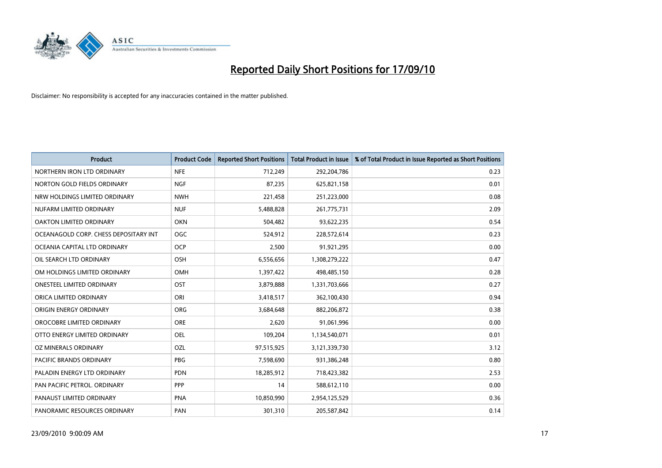

| <b>Product</b>                        | <b>Product Code</b> | <b>Reported Short Positions</b> | Total Product in Issue | % of Total Product in Issue Reported as Short Positions |
|---------------------------------------|---------------------|---------------------------------|------------------------|---------------------------------------------------------|
| NORTHERN IRON LTD ORDINARY            | <b>NFE</b>          | 712,249                         | 292,204,786            | 0.23                                                    |
| NORTON GOLD FIELDS ORDINARY           | NGF                 | 87,235                          | 625,821,158            | 0.01                                                    |
| NRW HOLDINGS LIMITED ORDINARY         | <b>NWH</b>          | 221,458                         | 251,223,000            | 0.08                                                    |
| NUFARM LIMITED ORDINARY               | <b>NUF</b>          | 5,488,828                       | 261,775,731            | 2.09                                                    |
| <b>OAKTON LIMITED ORDINARY</b>        | <b>OKN</b>          | 504,482                         | 93,622,235             | 0.54                                                    |
| OCEANAGOLD CORP. CHESS DEPOSITARY INT | <b>OGC</b>          | 524,912                         | 228,572,614            | 0.23                                                    |
| OCEANIA CAPITAL LTD ORDINARY          | <b>OCP</b>          | 2,500                           | 91,921,295             | 0.00                                                    |
| OIL SEARCH LTD ORDINARY               | OSH                 | 6,556,656                       | 1,308,279,222          | 0.47                                                    |
| OM HOLDINGS LIMITED ORDINARY          | <b>OMH</b>          | 1,397,422                       | 498,485,150            | 0.28                                                    |
| <b>ONESTEEL LIMITED ORDINARY</b>      | OST                 | 3,879,888                       | 1,331,703,666          | 0.27                                                    |
| ORICA LIMITED ORDINARY                | ORI                 | 3,418,517                       | 362,100,430            | 0.94                                                    |
| ORIGIN ENERGY ORDINARY                | <b>ORG</b>          | 3,684,648                       | 882,206,872            | 0.38                                                    |
| OROCOBRE LIMITED ORDINARY             | <b>ORE</b>          | 2,620                           | 91,061,996             | 0.00                                                    |
| OTTO ENERGY LIMITED ORDINARY          | OEL                 | 109,204                         | 1,134,540,071          | 0.01                                                    |
| OZ MINERALS ORDINARY                  | OZL                 | 97,515,925                      | 3,121,339,730          | 3.12                                                    |
| <b>PACIFIC BRANDS ORDINARY</b>        | <b>PBG</b>          | 7,598,690                       | 931,386,248            | 0.80                                                    |
| PALADIN ENERGY LTD ORDINARY           | PDN                 | 18,285,912                      | 718,423,382            | 2.53                                                    |
| PAN PACIFIC PETROL. ORDINARY          | PPP                 | 14                              | 588,612,110            | 0.00                                                    |
| PANAUST LIMITED ORDINARY              | <b>PNA</b>          | 10,850,990                      | 2,954,125,529          | 0.36                                                    |
| PANORAMIC RESOURCES ORDINARY          | PAN                 | 301,310                         | 205,587,842            | 0.14                                                    |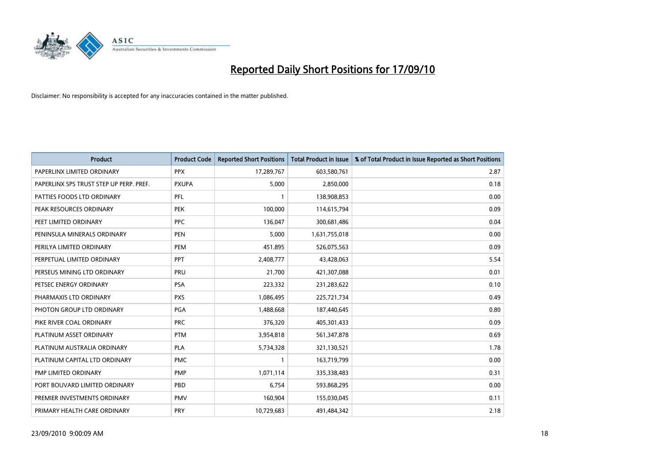

| <b>Product</b>                          | <b>Product Code</b> | <b>Reported Short Positions</b> | <b>Total Product in Issue</b> | % of Total Product in Issue Reported as Short Positions |
|-----------------------------------------|---------------------|---------------------------------|-------------------------------|---------------------------------------------------------|
| PAPERLINX LIMITED ORDINARY              | <b>PPX</b>          | 17,289,767                      | 603,580,761                   | 2.87                                                    |
| PAPERLINX SPS TRUST STEP UP PERP. PREF. | <b>PXUPA</b>        | 5,000                           | 2,850,000                     | 0.18                                                    |
| PATTIES FOODS LTD ORDINARY              | PFL                 |                                 | 138,908,853                   | 0.00                                                    |
| PEAK RESOURCES ORDINARY                 | <b>PEK</b>          | 100,000                         | 114,615,794                   | 0.09                                                    |
| PEET LIMITED ORDINARY                   | PPC                 | 136,047                         | 300,681,486                   | 0.04                                                    |
| PENINSULA MINERALS ORDINARY             | <b>PEN</b>          | 5,000                           | 1,631,755,018                 | 0.00                                                    |
| PERILYA LIMITED ORDINARY                | PEM                 | 451,895                         | 526,075,563                   | 0.09                                                    |
| PERPETUAL LIMITED ORDINARY              | PPT                 | 2,408,777                       | 43,428,063                    | 5.54                                                    |
| PERSEUS MINING LTD ORDINARY             | PRU                 | 21,700                          | 421,307,088                   | 0.01                                                    |
| PETSEC ENERGY ORDINARY                  | <b>PSA</b>          | 223,332                         | 231,283,622                   | 0.10                                                    |
| PHARMAXIS LTD ORDINARY                  | <b>PXS</b>          | 1,086,495                       | 225,721,734                   | 0.49                                                    |
| PHOTON GROUP LTD ORDINARY               | <b>PGA</b>          | 1,488,668                       | 187,440,645                   | 0.80                                                    |
| PIKE RIVER COAL ORDINARY                | <b>PRC</b>          | 376,320                         | 405,301,433                   | 0.09                                                    |
| PLATINUM ASSET ORDINARY                 | <b>PTM</b>          | 3,954,818                       | 561,347,878                   | 0.69                                                    |
| PLATINUM AUSTRALIA ORDINARY             | <b>PLA</b>          | 5,734,328                       | 321,130,521                   | 1.78                                                    |
| PLATINUM CAPITAL LTD ORDINARY           | <b>PMC</b>          |                                 | 163,719,799                   | 0.00                                                    |
| PMP LIMITED ORDINARY                    | <b>PMP</b>          | 1,071,114                       | 335,338,483                   | 0.31                                                    |
| PORT BOUVARD LIMITED ORDINARY           | PBD                 | 6,754                           | 593,868,295                   | 0.00                                                    |
| PREMIER INVESTMENTS ORDINARY            | <b>PMV</b>          | 160,904                         | 155,030,045                   | 0.11                                                    |
| PRIMARY HEALTH CARE ORDINARY            | <b>PRY</b>          | 10,729,683                      | 491,484,342                   | 2.18                                                    |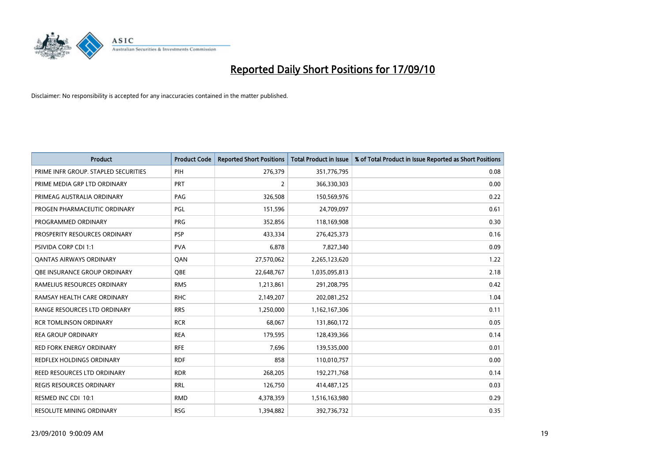

| <b>Product</b>                       | <b>Product Code</b> | <b>Reported Short Positions</b> | <b>Total Product in Issue</b> | % of Total Product in Issue Reported as Short Positions |
|--------------------------------------|---------------------|---------------------------------|-------------------------------|---------------------------------------------------------|
| PRIME INFR GROUP. STAPLED SECURITIES | PIH                 | 276,379                         | 351,776,795                   | 0.08                                                    |
| PRIME MEDIA GRP LTD ORDINARY         | <b>PRT</b>          | 2                               | 366,330,303                   | 0.00                                                    |
| PRIMEAG AUSTRALIA ORDINARY           | PAG                 | 326,508                         | 150,569,976                   | 0.22                                                    |
| PROGEN PHARMACEUTIC ORDINARY         | <b>PGL</b>          | 151,596                         | 24,709,097                    | 0.61                                                    |
| PROGRAMMED ORDINARY                  | <b>PRG</b>          | 352,856                         | 118,169,908                   | 0.30                                                    |
| PROSPERITY RESOURCES ORDINARY        | <b>PSP</b>          | 433,334                         | 276,425,373                   | 0.16                                                    |
| <b>PSIVIDA CORP CDI 1:1</b>          | <b>PVA</b>          | 6,878                           | 7,827,340                     | 0.09                                                    |
| <b>QANTAS AIRWAYS ORDINARY</b>       | QAN                 | 27,570,062                      | 2,265,123,620                 | 1.22                                                    |
| OBE INSURANCE GROUP ORDINARY         | <b>OBE</b>          | 22,648,767                      | 1,035,095,813                 | 2.18                                                    |
| RAMELIUS RESOURCES ORDINARY          | <b>RMS</b>          | 1,213,861                       | 291,208,795                   | 0.42                                                    |
| RAMSAY HEALTH CARE ORDINARY          | <b>RHC</b>          | 2,149,207                       | 202,081,252                   | 1.04                                                    |
| RANGE RESOURCES LTD ORDINARY         | <b>RRS</b>          | 1,250,000                       | 1,162,167,306                 | 0.11                                                    |
| <b>RCR TOMLINSON ORDINARY</b>        | <b>RCR</b>          | 68,067                          | 131,860,172                   | 0.05                                                    |
| <b>REA GROUP ORDINARY</b>            | <b>REA</b>          | 179,595                         | 128,439,366                   | 0.14                                                    |
| <b>RED FORK ENERGY ORDINARY</b>      | <b>RFE</b>          | 7,696                           | 139,535,000                   | 0.01                                                    |
| REDFLEX HOLDINGS ORDINARY            | <b>RDF</b>          | 858                             | 110,010,757                   | 0.00                                                    |
| REED RESOURCES LTD ORDINARY          | <b>RDR</b>          | 268,205                         | 192,271,768                   | 0.14                                                    |
| <b>REGIS RESOURCES ORDINARY</b>      | <b>RRL</b>          | 126,750                         | 414,487,125                   | 0.03                                                    |
| RESMED INC CDI 10:1                  | <b>RMD</b>          | 4,378,359                       | 1,516,163,980                 | 0.29                                                    |
| RESOLUTE MINING ORDINARY             | <b>RSG</b>          | 1,394,882                       | 392,736,732                   | 0.35                                                    |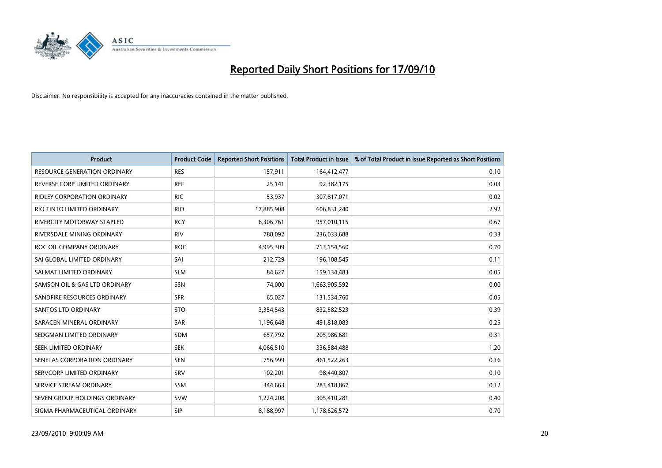

| <b>Product</b>                      | <b>Product Code</b> | <b>Reported Short Positions</b> | <b>Total Product in Issue</b> | % of Total Product in Issue Reported as Short Positions |
|-------------------------------------|---------------------|---------------------------------|-------------------------------|---------------------------------------------------------|
| <b>RESOURCE GENERATION ORDINARY</b> | <b>RES</b>          | 157,911                         | 164,412,477                   | 0.10                                                    |
| REVERSE CORP LIMITED ORDINARY       | <b>REF</b>          | 25,141                          | 92,382,175                    | 0.03                                                    |
| RIDLEY CORPORATION ORDINARY         | <b>RIC</b>          | 53,937                          | 307,817,071                   | 0.02                                                    |
| RIO TINTO LIMITED ORDINARY          | <b>RIO</b>          | 17,885,908                      | 606,831,240                   | 2.92                                                    |
| RIVERCITY MOTORWAY STAPLED          | <b>RCY</b>          | 6,306,761                       | 957,010,115                   | 0.67                                                    |
| RIVERSDALE MINING ORDINARY          | <b>RIV</b>          | 788,092                         | 236,033,688                   | 0.33                                                    |
| ROC OIL COMPANY ORDINARY            | <b>ROC</b>          | 4,995,309                       | 713,154,560                   | 0.70                                                    |
| SAI GLOBAL LIMITED ORDINARY         | SAI                 | 212,729                         | 196,108,545                   | 0.11                                                    |
| SALMAT LIMITED ORDINARY             | <b>SLM</b>          | 84,627                          | 159,134,483                   | 0.05                                                    |
| SAMSON OIL & GAS LTD ORDINARY       | SSN                 | 74,000                          | 1,663,905,592                 | 0.00                                                    |
| SANDFIRE RESOURCES ORDINARY         | <b>SFR</b>          | 65,027                          | 131,534,760                   | 0.05                                                    |
| <b>SANTOS LTD ORDINARY</b>          | <b>STO</b>          | 3,354,543                       | 832,582,523                   | 0.39                                                    |
| SARACEN MINERAL ORDINARY            | <b>SAR</b>          | 1,196,648                       | 491,818,083                   | 0.25                                                    |
| SEDGMAN LIMITED ORDINARY            | <b>SDM</b>          | 657,792                         | 205,986,681                   | 0.31                                                    |
| SEEK LIMITED ORDINARY               | <b>SEK</b>          | 4,066,510                       | 336,584,488                   | 1.20                                                    |
| SENETAS CORPORATION ORDINARY        | <b>SEN</b>          | 756,999                         | 461,522,263                   | 0.16                                                    |
| SERVCORP LIMITED ORDINARY           | SRV                 | 102,201                         | 98,440,807                    | 0.10                                                    |
| SERVICE STREAM ORDINARY             | <b>SSM</b>          | 344,663                         | 283,418,867                   | 0.12                                                    |
| SEVEN GROUP HOLDINGS ORDINARY       | <b>SVW</b>          | 1,224,208                       | 305,410,281                   | 0.40                                                    |
| SIGMA PHARMACEUTICAL ORDINARY       | SIP                 | 8,188,997                       | 1,178,626,572                 | 0.70                                                    |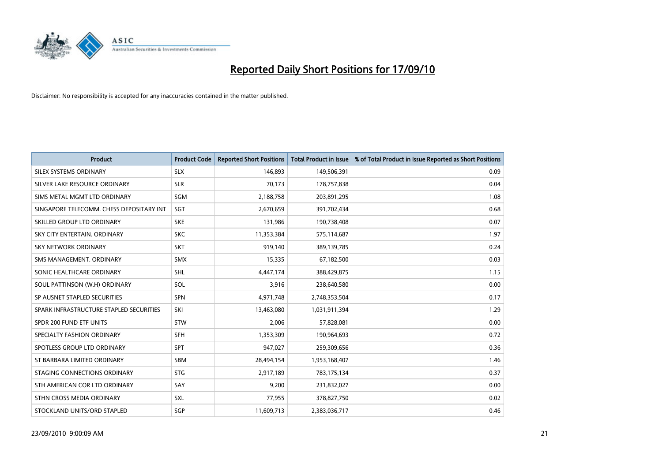

| <b>Product</b>                           | <b>Product Code</b> | <b>Reported Short Positions</b> | <b>Total Product in Issue</b> | % of Total Product in Issue Reported as Short Positions |
|------------------------------------------|---------------------|---------------------------------|-------------------------------|---------------------------------------------------------|
| SILEX SYSTEMS ORDINARY                   | <b>SLX</b>          | 146,893                         | 149,506,391                   | 0.09                                                    |
| SILVER LAKE RESOURCE ORDINARY            | <b>SLR</b>          | 70,173                          | 178,757,838                   | 0.04                                                    |
| SIMS METAL MGMT LTD ORDINARY             | SGM                 | 2,188,758                       | 203,891,295                   | 1.08                                                    |
| SINGAPORE TELECOMM. CHESS DEPOSITARY INT | SGT                 | 2,670,659                       | 391,702,434                   | 0.68                                                    |
| SKILLED GROUP LTD ORDINARY               | <b>SKE</b>          | 131,986                         | 190,738,408                   | 0.07                                                    |
| SKY CITY ENTERTAIN, ORDINARY             | <b>SKC</b>          | 11,353,384                      | 575,114,687                   | 1.97                                                    |
| <b>SKY NETWORK ORDINARY</b>              | <b>SKT</b>          | 919,140                         | 389,139,785                   | 0.24                                                    |
| SMS MANAGEMENT, ORDINARY                 | <b>SMX</b>          | 15,335                          | 67,182,500                    | 0.03                                                    |
| SONIC HEALTHCARE ORDINARY                | <b>SHL</b>          | 4,447,174                       | 388,429,875                   | 1.15                                                    |
| SOUL PATTINSON (W.H) ORDINARY            | SOL                 | 3,916                           | 238,640,580                   | 0.00                                                    |
| SP AUSNET STAPLED SECURITIES             | <b>SPN</b>          | 4,971,748                       | 2,748,353,504                 | 0.17                                                    |
| SPARK INFRASTRUCTURE STAPLED SECURITIES  | SKI                 | 13,463,080                      | 1,031,911,394                 | 1.29                                                    |
| SPDR 200 FUND ETF UNITS                  | <b>STW</b>          | 2,006                           | 57,828,081                    | 0.00                                                    |
| SPECIALTY FASHION ORDINARY               | <b>SFH</b>          | 1,353,309                       | 190,964,693                   | 0.72                                                    |
| SPOTLESS GROUP LTD ORDINARY              | SPT                 | 947,027                         | 259,309,656                   | 0.36                                                    |
| ST BARBARA LIMITED ORDINARY              | <b>SBM</b>          | 28,494,154                      | 1,953,168,407                 | 1.46                                                    |
| STAGING CONNECTIONS ORDINARY             | <b>STG</b>          | 2,917,189                       | 783,175,134                   | 0.37                                                    |
| STH AMERICAN COR LTD ORDINARY            | SAY                 | 9,200                           | 231,832,027                   | 0.00                                                    |
| STHN CROSS MEDIA ORDINARY                | <b>SXL</b>          | 77,955                          | 378,827,750                   | 0.02                                                    |
| STOCKLAND UNITS/ORD STAPLED              | SGP                 | 11,609,713                      | 2,383,036,717                 | 0.46                                                    |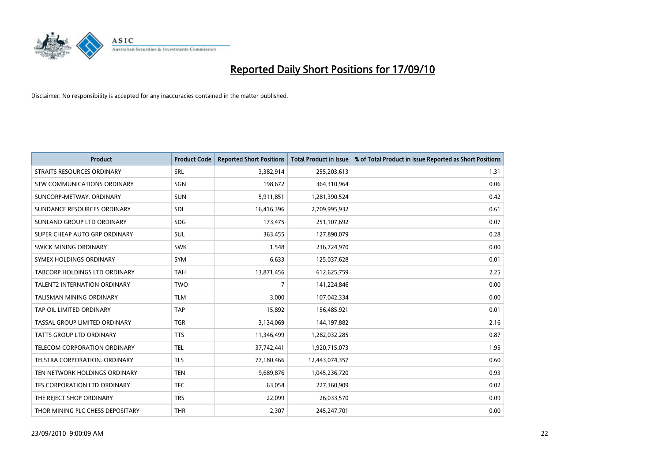

| <b>Product</b>                      | <b>Product Code</b> | <b>Reported Short Positions</b> | <b>Total Product in Issue</b> | % of Total Product in Issue Reported as Short Positions |
|-------------------------------------|---------------------|---------------------------------|-------------------------------|---------------------------------------------------------|
| <b>STRAITS RESOURCES ORDINARY</b>   | SRL                 | 3,382,914                       | 255,203,613                   | 1.31                                                    |
| STW COMMUNICATIONS ORDINARY         | SGN                 | 198,672                         | 364,310,964                   | 0.06                                                    |
| SUNCORP-METWAY, ORDINARY            | <b>SUN</b>          | 5,911,851                       | 1,281,390,524                 | 0.42                                                    |
| SUNDANCE RESOURCES ORDINARY         | <b>SDL</b>          | 16,416,396                      | 2,709,995,932                 | 0.61                                                    |
| SUNLAND GROUP LTD ORDINARY          | <b>SDG</b>          | 173,475                         | 251,107,692                   | 0.07                                                    |
| SUPER CHEAP AUTO GRP ORDINARY       | <b>SUL</b>          | 363,455                         | 127,890,079                   | 0.28                                                    |
| SWICK MINING ORDINARY               | <b>SWK</b>          | 1,548                           | 236,724,970                   | 0.00                                                    |
| SYMEX HOLDINGS ORDINARY             | <b>SYM</b>          | 6,633                           | 125,037,628                   | 0.01                                                    |
| TABCORP HOLDINGS LTD ORDINARY       | <b>TAH</b>          | 13,871,456                      | 612,625,759                   | 2.25                                                    |
| <b>TALENT2 INTERNATION ORDINARY</b> | <b>TWO</b>          | $\overline{7}$                  | 141,224,846                   | 0.00                                                    |
| <b>TALISMAN MINING ORDINARY</b>     | <b>TLM</b>          | 3,000                           | 107,042,334                   | 0.00                                                    |
| TAP OIL LIMITED ORDINARY            | <b>TAP</b>          | 15,892                          | 156,485,921                   | 0.01                                                    |
| TASSAL GROUP LIMITED ORDINARY       | <b>TGR</b>          | 3,134,069                       | 144,197,882                   | 2.16                                                    |
| <b>TATTS GROUP LTD ORDINARY</b>     | <b>TTS</b>          | 11,346,499                      | 1,282,032,285                 | 0.87                                                    |
| TELECOM CORPORATION ORDINARY        | <b>TEL</b>          | 37,742,441                      | 1,920,715,073                 | 1.95                                                    |
| TELSTRA CORPORATION, ORDINARY       | <b>TLS</b>          | 77,180,466                      | 12,443,074,357                | 0.60                                                    |
| TEN NETWORK HOLDINGS ORDINARY       | <b>TEN</b>          | 9,689,876                       | 1,045,236,720                 | 0.93                                                    |
| TFS CORPORATION LTD ORDINARY        | <b>TFC</b>          | 63,054                          | 227,360,909                   | 0.02                                                    |
| THE REJECT SHOP ORDINARY            | <b>TRS</b>          | 22,099                          | 26,033,570                    | 0.09                                                    |
| THOR MINING PLC CHESS DEPOSITARY    | <b>THR</b>          | 2,307                           | 245,247,701                   | 0.00                                                    |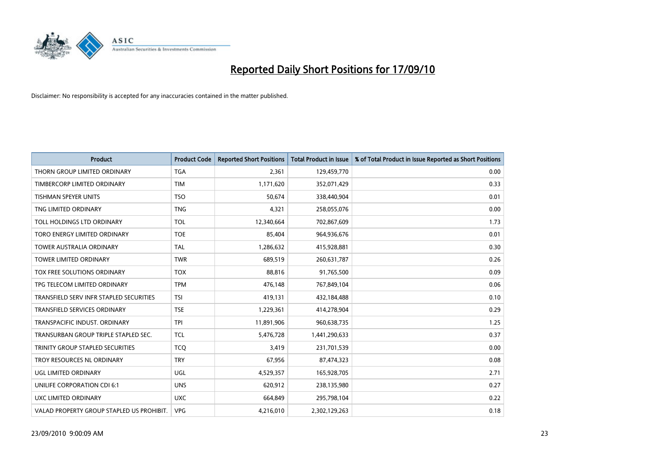

| <b>Product</b>                            | <b>Product Code</b> | <b>Reported Short Positions</b> | Total Product in Issue | % of Total Product in Issue Reported as Short Positions |
|-------------------------------------------|---------------------|---------------------------------|------------------------|---------------------------------------------------------|
| THORN GROUP LIMITED ORDINARY              | <b>TGA</b>          | 2,361                           | 129,459,770            | 0.00                                                    |
| TIMBERCORP LIMITED ORDINARY               | <b>TIM</b>          | 1,171,620                       | 352,071,429            | 0.33                                                    |
| <b>TISHMAN SPEYER UNITS</b>               | <b>TSO</b>          | 50,674                          | 338,440,904            | 0.01                                                    |
| TNG LIMITED ORDINARY                      | <b>TNG</b>          | 4,321                           | 258,055,076            | 0.00                                                    |
| TOLL HOLDINGS LTD ORDINARY                | <b>TOL</b>          | 12,340,664                      | 702,867,609            | 1.73                                                    |
| TORO ENERGY LIMITED ORDINARY              | <b>TOE</b>          | 85,404                          | 964,936,676            | 0.01                                                    |
| <b>TOWER AUSTRALIA ORDINARY</b>           | <b>TAL</b>          | 1,286,632                       | 415,928,881            | 0.30                                                    |
| <b>TOWER LIMITED ORDINARY</b>             | <b>TWR</b>          | 689,519                         | 260,631,787            | 0.26                                                    |
| TOX FREE SOLUTIONS ORDINARY               | <b>TOX</b>          | 88,816                          | 91,765,500             | 0.09                                                    |
| TPG TELECOM LIMITED ORDINARY              | <b>TPM</b>          | 476,148                         | 767,849,104            | 0.06                                                    |
| TRANSFIELD SERV INFR STAPLED SECURITIES   | <b>TSI</b>          | 419,131                         | 432,184,488            | 0.10                                                    |
| <b>TRANSFIELD SERVICES ORDINARY</b>       | <b>TSE</b>          | 1,229,361                       | 414,278,904            | 0.29                                                    |
| TRANSPACIFIC INDUST. ORDINARY             | <b>TPI</b>          | 11,891,906                      | 960,638,735            | 1.25                                                    |
| TRANSURBAN GROUP TRIPLE STAPLED SEC.      | <b>TCL</b>          | 5,476,728                       | 1,441,290,633          | 0.37                                                    |
| TRINITY GROUP STAPLED SECURITIES          | <b>TCQ</b>          | 3,419                           | 231,701,539            | 0.00                                                    |
| TROY RESOURCES NL ORDINARY                | <b>TRY</b>          | 67,956                          | 87,474,323             | 0.08                                                    |
| UGL LIMITED ORDINARY                      | UGL                 | 4,529,357                       | 165,928,705            | 2.71                                                    |
| UNILIFE CORPORATION CDI 6:1               | <b>UNS</b>          | 620,912                         | 238,135,980            | 0.27                                                    |
| UXC LIMITED ORDINARY                      | <b>UXC</b>          | 664,849                         | 295,798,104            | 0.22                                                    |
| VALAD PROPERTY GROUP STAPLED US PROHIBIT. | <b>VPG</b>          | 4,216,010                       | 2,302,129,263          | 0.18                                                    |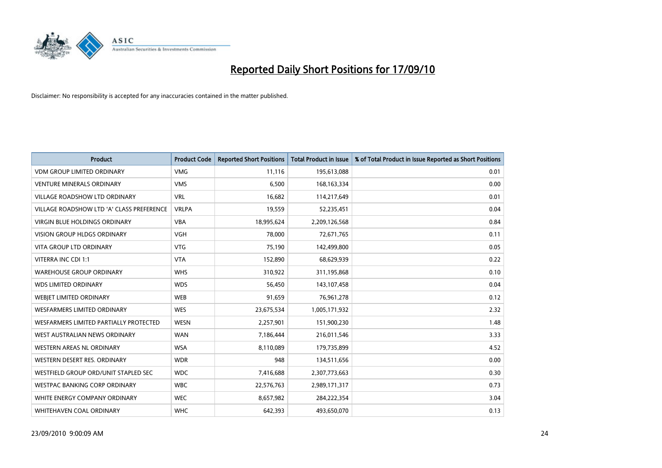

| <b>Product</b>                            | <b>Product Code</b> | <b>Reported Short Positions</b> | <b>Total Product in Issue</b> | % of Total Product in Issue Reported as Short Positions |
|-------------------------------------------|---------------------|---------------------------------|-------------------------------|---------------------------------------------------------|
| <b>VDM GROUP LIMITED ORDINARY</b>         | <b>VMG</b>          | 11,116                          | 195,613,088                   | 0.01                                                    |
| <b>VENTURE MINERALS ORDINARY</b>          | <b>VMS</b>          | 6,500                           | 168, 163, 334                 | 0.00                                                    |
| <b>VILLAGE ROADSHOW LTD ORDINARY</b>      | <b>VRL</b>          | 16,682                          | 114,217,649                   | 0.01                                                    |
| VILLAGE ROADSHOW LTD 'A' CLASS PREFERENCE | <b>VRLPA</b>        | 19,559                          | 52,235,451                    | 0.04                                                    |
| <b>VIRGIN BLUE HOLDINGS ORDINARY</b>      | <b>VBA</b>          | 18,995,624                      | 2,209,126,568                 | 0.84                                                    |
| <b>VISION GROUP HLDGS ORDINARY</b>        | <b>VGH</b>          | 78,000                          | 72,671,765                    | 0.11                                                    |
| <b>VITA GROUP LTD ORDINARY</b>            | <b>VTG</b>          | 75,190                          | 142,499,800                   | 0.05                                                    |
| VITERRA INC CDI 1:1                       | <b>VTA</b>          | 152,890                         | 68,629,939                    | 0.22                                                    |
| <b>WAREHOUSE GROUP ORDINARY</b>           | <b>WHS</b>          | 310,922                         | 311,195,868                   | 0.10                                                    |
| <b>WDS LIMITED ORDINARY</b>               | <b>WDS</b>          | 56,450                          | 143,107,458                   | 0.04                                                    |
| <b>WEBJET LIMITED ORDINARY</b>            | <b>WEB</b>          | 91,659                          | 76,961,278                    | 0.12                                                    |
| <b>WESFARMERS LIMITED ORDINARY</b>        | <b>WES</b>          | 23,675,534                      | 1,005,171,932                 | 2.32                                                    |
| WESFARMERS LIMITED PARTIALLY PROTECTED    | <b>WESN</b>         | 2,257,901                       | 151,900,230                   | 1.48                                                    |
| WEST AUSTRALIAN NEWS ORDINARY             | <b>WAN</b>          | 7,186,444                       | 216,011,546                   | 3.33                                                    |
| WESTERN AREAS NL ORDINARY                 | <b>WSA</b>          | 8,110,089                       | 179,735,899                   | 4.52                                                    |
| WESTERN DESERT RES. ORDINARY              | <b>WDR</b>          | 948                             | 134,511,656                   | 0.00                                                    |
| WESTFIELD GROUP ORD/UNIT STAPLED SEC      | <b>WDC</b>          | 7,416,688                       | 2,307,773,663                 | 0.30                                                    |
| WESTPAC BANKING CORP ORDINARY             | <b>WBC</b>          | 22,576,763                      | 2,989,171,317                 | 0.73                                                    |
| WHITE ENERGY COMPANY ORDINARY             | <b>WEC</b>          | 8,657,982                       | 284,222,354                   | 3.04                                                    |
| WHITEHAVEN COAL ORDINARY                  | <b>WHC</b>          | 642,393                         | 493,650,070                   | 0.13                                                    |